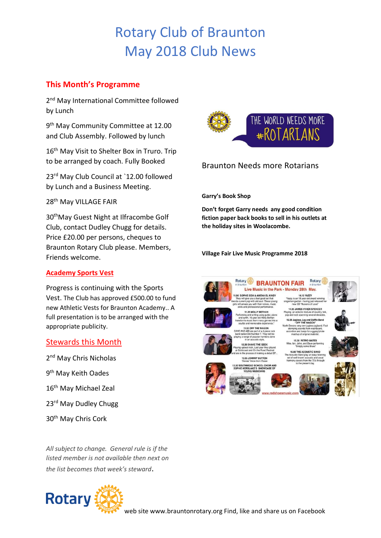# Rotary Club of Braunton May 2018 Club News

## **This Month's Programme**

2<sup>nd</sup> May International Committee followed by Lunch

9<sup>th</sup> May Community Committee at 12.00 and Club Assembly. Followed by lunch

16<sup>th</sup> May Visit to Shelter Box in Truro. Trip to be arranged by coach. Fully Booked

23rd May Club Council at `12.00 followed by Lunch and a Business Meeting.

28<sup>th</sup> May VILLAGE FAIR

30thMay Guest Night at Ilfracombe Golf Club, contact Dudley Chugg for details. Price £20.00 per persons, cheques to Braunton Rotary Club please. Members, Friends welcome.

#### **Academy Sports Vest**

Progress is continuing with the Sports Vest. The Club has approved £500.00 to fund new Athletic Vests for Braunton Academy.. A full presentation is to be arranged with the appropriate publicity.

#### Stewards this Month

2<sup>nd</sup> May Chris Nicholas 9<sup>th</sup> May Keith Oades 16th May Michael Zeal 23<sup>rd</sup> May Dudley Chugg 30th May Chris Cork

*All subject to change. General rule is if the listed member is not available then next on the list becomes that week's steward*.





### Braunton Needs more Rotarians

**Garry's Book Shop**

**Don't forget Garry needs any good condition fiction paper back books to sell in his outlets at the holiday sites in Woolacombe.** 

**Village Fair Live Music Programme 2018**